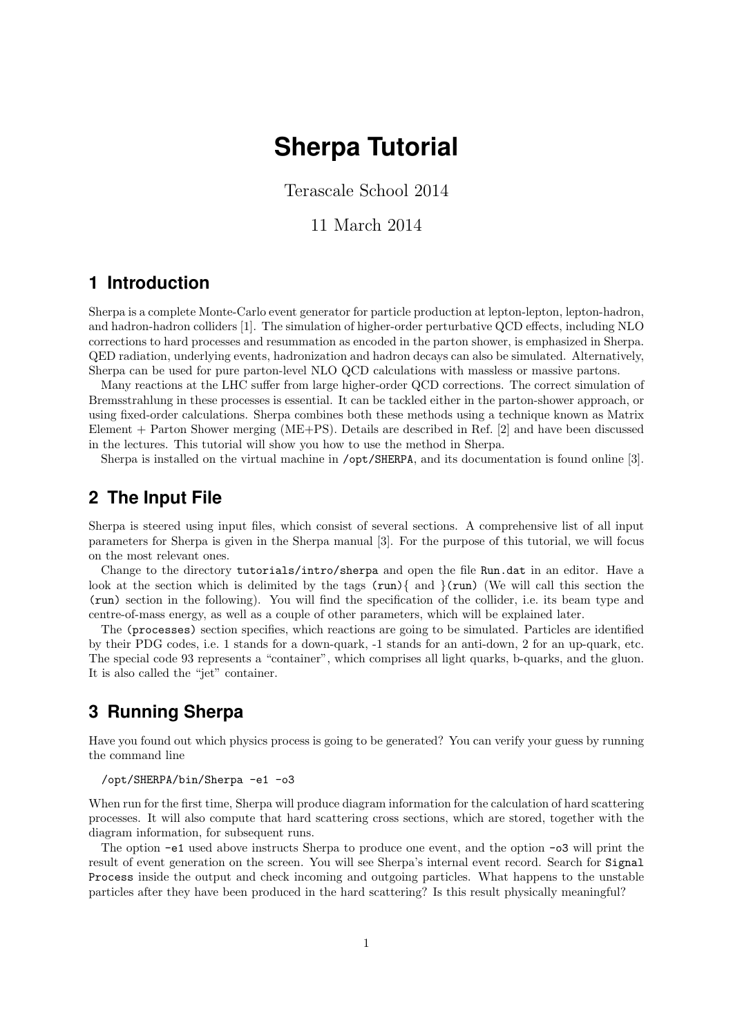# **Sherpa Tutorial**

Terascale School 2014

#### 11 March 2014

### **1 Introduction**

Sherpa is a complete Monte-Carlo event generator for particle production at lepton-lepton, lepton-hadron, and hadron-hadron colliders [1]. The simulation of higher-order perturbative QCD effects, including NLO corrections to hard processes and resummation as encoded in the parton shower, is emphasized in Sherpa. QED radiation, underlying events, hadronization and hadron decays can also be simulated. Alternatively, Sherpa can be used for pure parton-level NLO QCD calculations with massless or massive partons.

Many reactions at the LHC suffer from large higher-order QCD corrections. The correct simulation of Bremsstrahlung in these processes is essential. It can be tackled either in the parton-shower approach, or using fixed-order calculations. Sherpa combines both these methods using a technique known as Matrix Element + Parton Shower merging (ME+PS). Details are described in Ref. [2] and have been discussed in the lectures. This tutorial will show you how to use the method in Sherpa.

Sherpa is installed on the virtual machine in /opt/SHERPA, and its documentation is found online [3].

#### **2 The Input File**

Sherpa is steered using input files, which consist of several sections. A comprehensive list of all input parameters for Sherpa is given in the Sherpa manual [3]. For the purpose of this tutorial, we will focus on the most relevant ones.

Change to the directory tutorials/intro/sherpa and open the file Run.dat in an editor. Have a look at the section which is delimited by the tags  $(run)$  { and } $(run)$  (We will call this section the (run) section in the following). You will find the specification of the collider, i.e. its beam type and centre-of-mass energy, as well as a couple of other parameters, which will be explained later.

The (processes) section specifies, which reactions are going to be simulated. Particles are identified by their PDG codes, i.e. 1 stands for a down-quark, -1 stands for an anti-down, 2 for an up-quark, etc. The special code 93 represents a "container", which comprises all light quarks, b-quarks, and the gluon. It is also called the "jet" container.

## **3 Running Sherpa**

Have you found out which physics process is going to be generated? You can verify your guess by running the command line

#### /opt/SHERPA/bin/Sherpa -e1 -o3

When run for the first time, Sherpa will produce diagram information for the calculation of hard scattering processes. It will also compute that hard scattering cross sections, which are stored, together with the diagram information, for subsequent runs.

The option -e1 used above instructs Sherpa to produce one event, and the option -o3 will print the result of event generation on the screen. You will see Sherpa's internal event record. Search for Signal Process inside the output and check incoming and outgoing particles. What happens to the unstable particles after they have been produced in the hard scattering? Is this result physically meaningful?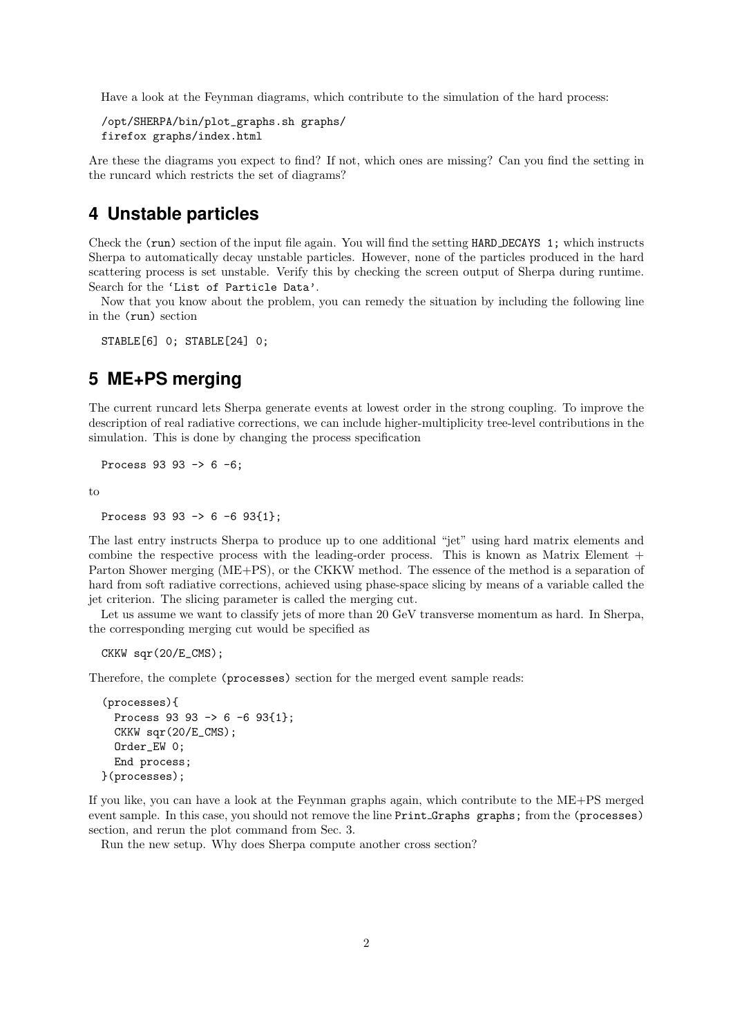Have a look at the Feynman diagrams, which contribute to the simulation of the hard process:

```
/opt/SHERPA/bin/plot_graphs.sh graphs/
firefox graphs/index.html
```
Are these the diagrams you expect to find? If not, which ones are missing? Can you find the setting in the runcard which restricts the set of diagrams?

### **4 Unstable particles**

Check the (run) section of the input file again. You will find the setting HARD DECAYS 1; which instructs Sherpa to automatically decay unstable particles. However, none of the particles produced in the hard scattering process is set unstable. Verify this by checking the screen output of Sherpa during runtime. Search for the 'List of Particle Data'.

Now that you know about the problem, you can remedy the situation by including the following line in the (run) section

```
STABLE[6] 0; STABLE[24] 0;
```
## **5 ME+PS merging**

The current runcard lets Sherpa generate events at lowest order in the strong coupling. To improve the description of real radiative corrections, we can include higher-multiplicity tree-level contributions in the simulation. This is done by changing the process specification

Process 93 93 -> 6 -6;

to

Process 93 93 -> 6 -6 93{1};

The last entry instructs Sherpa to produce up to one additional "jet" using hard matrix elements and combine the respective process with the leading-order process. This is known as Matrix Element  $+$ Parton Shower merging (ME+PS), or the CKKW method. The essence of the method is a separation of hard from soft radiative corrections, achieved using phase-space slicing by means of a variable called the jet criterion. The slicing parameter is called the merging cut.

Let us assume we want to classify jets of more than 20 GeV transverse momentum as hard. In Sherpa, the corresponding merging cut would be specified as

CKKW sqr(20/E\_CMS);

Therefore, the complete (processes) section for the merged event sample reads:

```
(processes){
  Process 93 93 -> 6 -6 93{1};
  CKKW sqr(20/E_CMS);
  Order_EW 0;
  End process;
}(processes);
```
If you like, you can have a look at the Feynman graphs again, which contribute to the ME+PS merged event sample. In this case, you should not remove the line Print Graphs graphs; from the (processes) section, and rerun the plot command from Sec. 3.

Run the new setup. Why does Sherpa compute another cross section?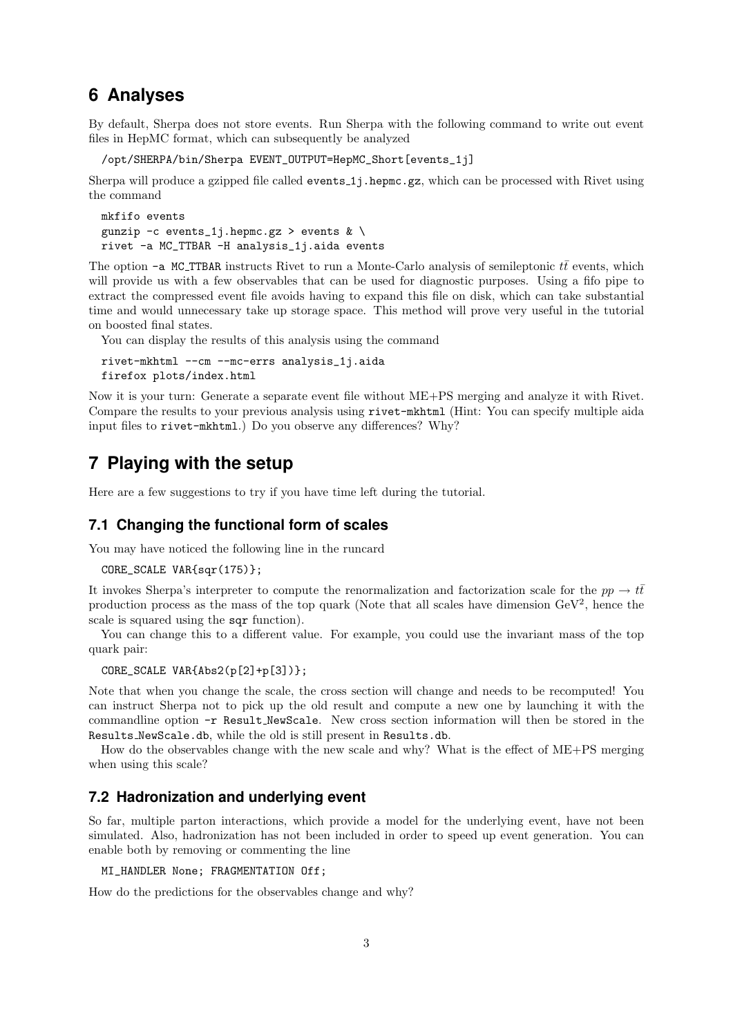### **6 Analyses**

By default, Sherpa does not store events. Run Sherpa with the following command to write out event files in HepMC format, which can subsequently be analyzed

/opt/SHERPA/bin/Sherpa EVENT\_OUTPUT=HepMC\_Short[events\_1j]

Sherpa will produce a gzipped file called events 1*j*.hepmc.gz, which can be processed with Rivet using the command

```
mkfifo events
gunzip -c events_1j.hepmc.gz > events \& \setminusrivet -a MC_TTBAR -H analysis_1j.aida events
```
The option  $-a$  MC\_TTBAR instructs Rivet to run a Monte-Carlo analysis of semileptonic  $t\bar{t}$  events, which will provide us with a few observables that can be used for diagnostic purposes. Using a fifo pipe to extract the compressed event file avoids having to expand this file on disk, which can take substantial time and would unnecessary take up storage space. This method will prove very useful in the tutorial on boosted final states.

You can display the results of this analysis using the command

```
rivet-mkhtml --cm --mc-errs analysis_1j.aida
firefox plots/index.html
```
Now it is your turn: Generate a separate event file without ME+PS merging and analyze it with Rivet. Compare the results to your previous analysis using rivet-mkhtml (Hint: You can specify multiple aida input files to rivet-mkhtml.) Do you observe any differences? Why?

## **7 Playing with the setup**

Here are a few suggestions to try if you have time left during the tutorial.

#### **7.1 Changing the functional form of scales**

You may have noticed the following line in the runcard

```
CORE_SCALE VAR{sqr(175)};
```
It invokes Sherpa's interpreter to compute the renormalization and factorization scale for the  $pp \to t\bar{t}$ production process as the mass of the top quark (Note that all scales have dimension  $\text{GeV}^2$ , hence the scale is squared using the sqr function).

You can change this to a different value. For example, you could use the invariant mass of the top quark pair:

```
CORE_SCALE VAR{Abs2(p[2]+p[3])};
```
Note that when you change the scale, the cross section will change and needs to be recomputed! You can instruct Sherpa not to pick up the old result and compute a new one by launching it with the commandline option -r Result NewScale. New cross section information will then be stored in the Results NewScale.db, while the old is still present in Results.db.

How do the observables change with the new scale and why? What is the effect of ME+PS merging when using this scale?

#### **7.2 Hadronization and underlying event**

So far, multiple parton interactions, which provide a model for the underlying event, have not been simulated. Also, hadronization has not been included in order to speed up event generation. You can enable both by removing or commenting the line

```
MI_HANDLER None; FRAGMENTATION Off;
```
How do the predictions for the observables change and why?